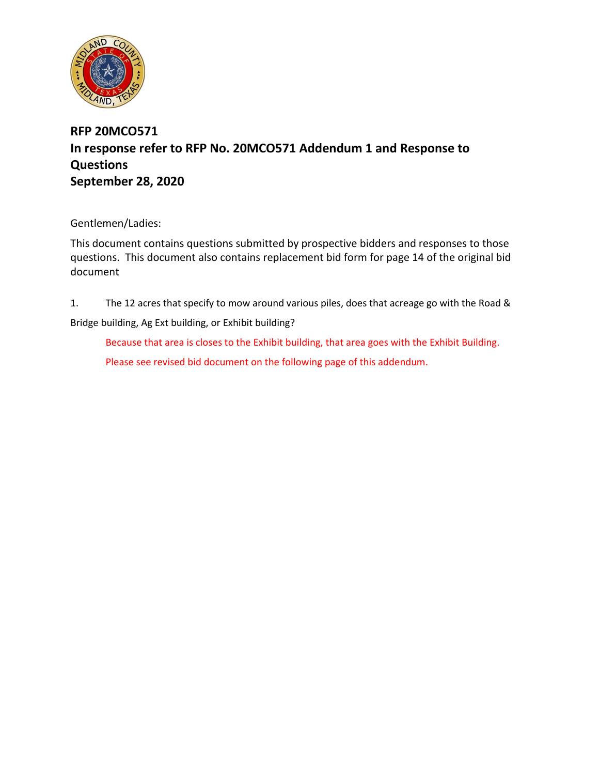

## **RFP 20MCO571 In response refer to RFP No. 20MCO571 Addendum 1 and Response to Questions September 28, 2020**

Gentlemen/Ladies:

This document contains questions submitted by prospective bidders and responses to those questions. This document also contains replacement bid form for page 14 of the original bid document

1. The 12 acres that specify to mow around various piles, does that acreage go with the Road & Bridge building, Ag Ext building, or Exhibit building?

Because that area is closes to the Exhibit building, that area goes with the Exhibit Building. Please see revised bid document on the following page of this addendum.